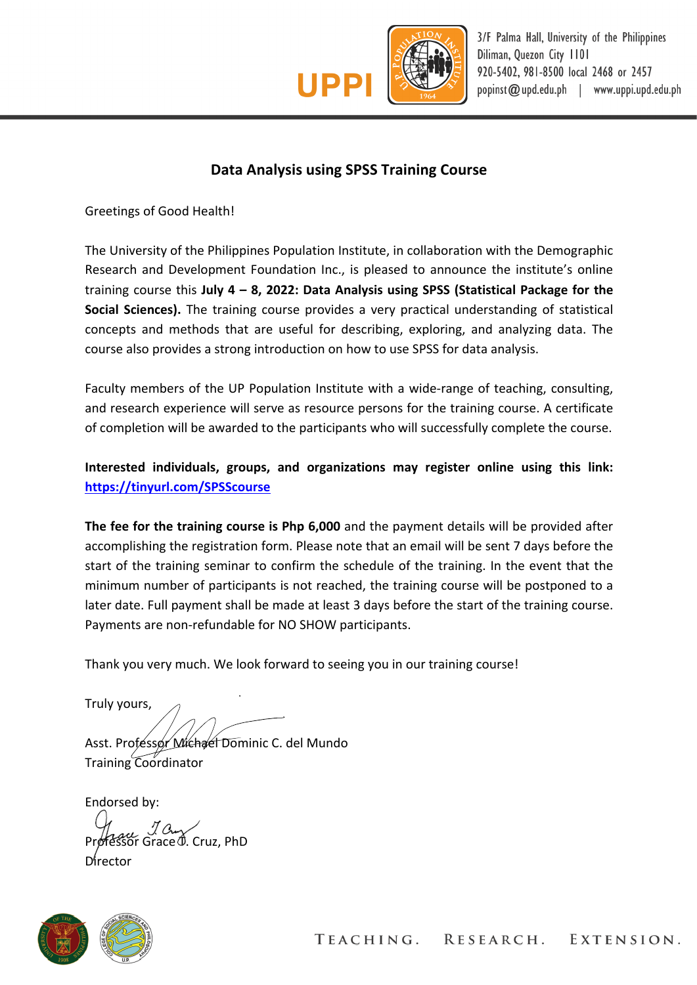

## **Data Analysis using SPSS Training Course**

Greetings of Good Health!

The University of the Philippines Population Institute, in collaboration with the Demographic Research and Development Foundation Inc., is pleased to announce the institute's online training course this **July 4 – 8, 2022: Data Analysis using SPSS (Statistical Package for the Social Sciences).** The training course provides a very practical understanding of statistical concepts and methods that are useful for describing, exploring, and analyzing data. The course also provides a strong introduction on how to use SPSS for data analysis.

Faculty members of the UP Population Institute with a wide-range of teaching, consulting, and research experience will serve as resource persons for the training course. A certificate of completion will be awarded to the participants who will successfully complete the course.

**Interested individuals, groups, and organizations may register online using this link: https://tinyurl.com/SPSScourse**

**The fee for the training course is Php 6,000** and the payment details will be provided after accomplishing the registration form. Please note that an email will be sent 7 days before the start of the training seminar to confirm the schedule of the training. In the event that the minimum number of participants is not reached, the training course will be postponed to a later date. Full payment shall be made at least 3 days before the start of the training course. Payments are non-refundable for NO SHOW participants.

Thank you very much. We look forward to seeing you in our training course!

Truly yours,

Asst. Professor Michael Dominic C. del Mundo Training Coordinator

Endorsed by:

 $\alpha$  *J*  $\alpha$   $\alpha$  Cruz, PhD

Director